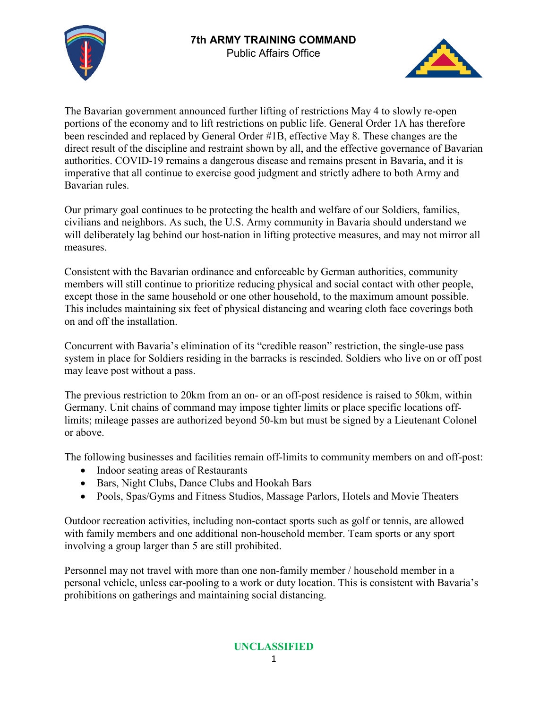



The Bavarian government announced further lifting of restrictions May 4 to slowly re-open portions of the economy and to lift restrictions on public life. General Order 1A has therefore been rescinded and replaced by General Order #1B, effective May 8. These changes are the direct result of the discipline and restraint shown by all, and the effective governance of Bavarian authorities. COVID-19 remains a dangerous disease and remains present in Bavaria, and it is imperative that all continue to exercise good judgment and strictly adhere to both Army and Bavarian rules.

Our primary goal continues to be protecting the health and welfare of our Soldiers, families, civilians and neighbors. As such, the U.S. Army community in Bavaria should understand we will deliberately lag behind our host-nation in lifting protective measures, and may not mirror all measures.

Consistent with the Bavarian ordinance and enforceable by German authorities, community members will still continue to prioritize reducing physical and social contact with other people, except those in the same household or one other household, to the maximum amount possible. This includes maintaining six feet of physical distancing and wearing cloth face coverings both on and off the installation.

Concurrent with Bavaria's elimination of its "credible reason" restriction, the single-use pass system in place for Soldiers residing in the barracks is rescinded. Soldiers who live on or off post may leave post without a pass.

The previous restriction to 20km from an on- or an off-post residence is raised to 50km, within Germany. Unit chains of command may impose tighter limits or place specific locations offlimits; mileage passes are authorized beyond 50-km but must be signed by a Lieutenant Colonel or above.

The following businesses and facilities remain off-limits to community members on and off-post:

- Indoor seating areas of Restaurants
- Bars, Night Clubs, Dance Clubs and Hookah Bars
- Pools, Spas/Gyms and Fitness Studios, Massage Parlors, Hotels and Movie Theaters

Outdoor recreation activities, including non-contact sports such as golf or tennis, are allowed with family members and one additional non-household member. Team sports or any sport involving a group larger than 5 are still prohibited.

Personnel may not travel with more than one non-family member / household member in a personal vehicle, unless car-pooling to a work or duty location. This is consistent with Bavaria's prohibitions on gatherings and maintaining social distancing.